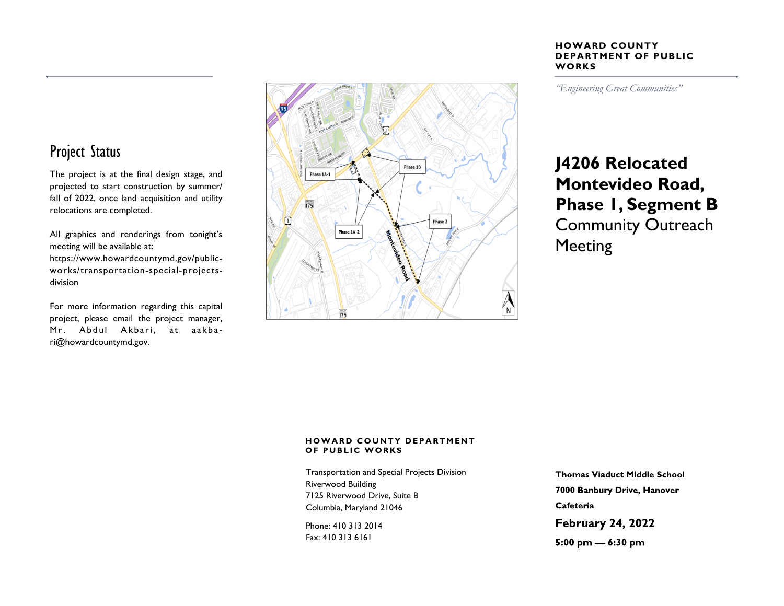#### **HOWARD COUNTY DEPARTMENT OF PUBLIC WORKS**

*"Engineering Great Communities"* 

# **J4206 Relocated Montevideo Road, Phase 1, Segment B** Community Outreach Meeting

#### Project Status

The project is at the final design stage, and projected to start construction by summer/ fall of 2022, once land acquisition and utility relocations are completed.

All graphics and renderings from tonight's meeting will be available at:

https://www.howardcountymd.gov/publicworks/transportation-special-projectsdivision

For more information regarding this capital project, please email the project manager, Mr. Abdul Akbari, at aakbari@howardcountymd.gov.



#### **HOWARD COUNTY DEPARTMENT OF PUBLIC WORKS**

Transportation and Special Projects Division Riverwood Building 7125 Riverwood Drive, Suite B Columbia, Maryland 21046

Phone: 410 313 2014 Fax: 410 313 6161

**Thomas Viaduct Middle School** 7000 Banbury Drive, Hanover Cafeteria

**February 24, 2022** 

5:00 pm  $-$  6:30 pm